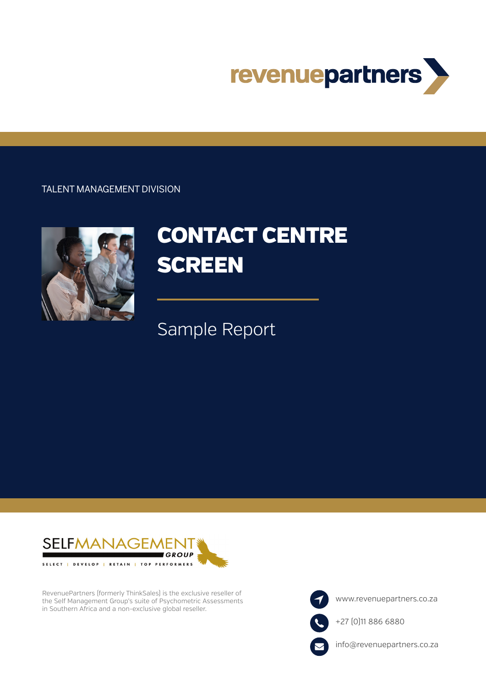

## TALENT MANAGEMENT DIVISION



# CONTACT CENTRE **SCREEN**

## Sample Report



RevenuePartners (formerly ThinkSales) is the exclusive reseller of the Self Management Group's suite of Psychometric Assessments in Southern Africa and a non-exclusive global reseller.

www.revenuepartners.co.za

+27 (0)11 886 6880



info@revenuepartners.co.za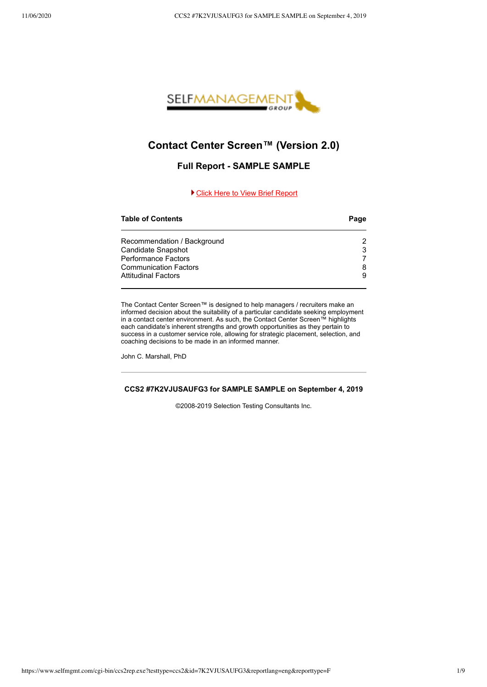

## **Contact Center Screen™ (Version 2.0)**

## **Full Report - SAMPLE SAMPLE**

## ▶ [Click Here to View Brief Report](https://www.selfmgmt.com/cgi-bin/ccs2rep.exe?testtype=ccs2&id=7K2VJUSAUFG3&reportlang=eng&reporttype=M)

## **Table of Contents Page** Recommendation / Background 2 Candidate Snapshot 3 Performance Factors 7 Communication Factors 8 Attitudinal Factors 9

The Contact Center Screen™ is designed to help managers / recruiters make an informed decision about the suitability of a particular candidate seeking employment in a contact center environment. As such, the Contact Center Screen™ highlights each candidate's inherent strengths and growth opportunities as they pertain to success in a customer service role, allowing for strategic placement, selection, and coaching decisions to be made in an informed manner.

John C. Marshall, PhD

## **CCS2 #7K2VJUSAUFG3 for SAMPLE SAMPLE on September 4, 2019**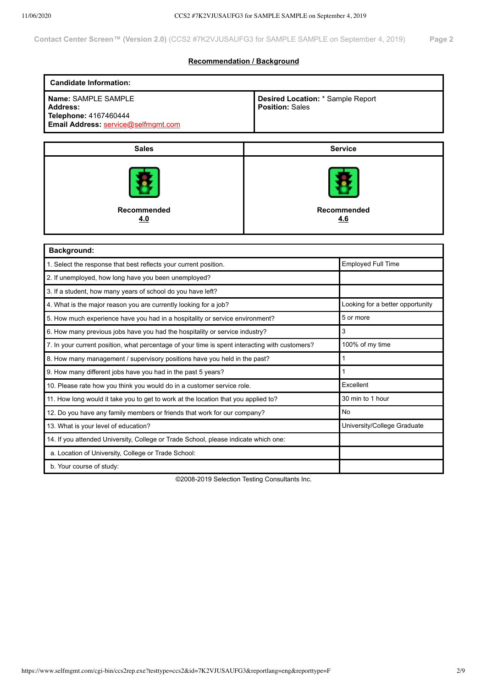## **Recommendation / Background**

| <b>Candidate Information:</b>                                                                          |                                                             |                |  |  |  |  |  |  |
|--------------------------------------------------------------------------------------------------------|-------------------------------------------------------------|----------------|--|--|--|--|--|--|
| Name: SAMPLE SAMPLE<br><b>Address:</b><br>Telephone: 4167460444<br>Email Address: service@selfmgmt.com | Desired Location: * Sample Report<br><b>Position: Sales</b> |                |  |  |  |  |  |  |
|                                                                                                        |                                                             |                |  |  |  |  |  |  |
| <b>Sales</b>                                                                                           |                                                             | <b>Service</b> |  |  |  |  |  |  |
| Recommended<br>4.0                                                                                     | Recommended<br>4.6                                          |                |  |  |  |  |  |  |
|                                                                                                        |                                                             |                |  |  |  |  |  |  |
| Background:                                                                                            |                                                             |                |  |  |  |  |  |  |
| 1. Select the response that best reflects your current position.                                       | Employed Full Time                                          |                |  |  |  |  |  |  |
| 2. If unemployed, how long have you been unemployed?                                                   |                                                             |                |  |  |  |  |  |  |
| 3. If a student, how many years of school do you have left?                                            |                                                             |                |  |  |  |  |  |  |
| 4. What is the major reason you are currently looking for a job?                                       | Looking for a better opportunity                            |                |  |  |  |  |  |  |
| 5. How much experience have you had in a hospitality or service environment?                           | 5 or more                                                   |                |  |  |  |  |  |  |
| 6. How many previous jobs have you had the hospitality or service industry?                            | 3                                                           |                |  |  |  |  |  |  |
| 7. In your current position, what percentage of your time is spent interacting with customers?         | 100% of my time                                             |                |  |  |  |  |  |  |
| 8. How many management / supervisory positions have you held in the past?                              | $\mathbf{1}$                                                |                |  |  |  |  |  |  |
| 9. How many different jobs have you had in the past 5 years?                                           | $\mathbf{1}$                                                |                |  |  |  |  |  |  |
| 10. Please rate how you think you would do in a customer service role.                                 | Excellent                                                   |                |  |  |  |  |  |  |
| 11. How long would it take you to get to work at the location that you applied to?                     | 30 min to 1 hour                                            |                |  |  |  |  |  |  |
| 12. Do you have any family members or friends that work for our company?                               | No                                                          |                |  |  |  |  |  |  |
| 13. What is your level of education?                                                                   | University/College Graduate                                 |                |  |  |  |  |  |  |
| 14. If you attended University, College or Trade School, please indicate which one:                    |                                                             |                |  |  |  |  |  |  |
| a. Location of University, College or Trade School:                                                    |                                                             |                |  |  |  |  |  |  |
| b. Your course of study:                                                                               |                                                             |                |  |  |  |  |  |  |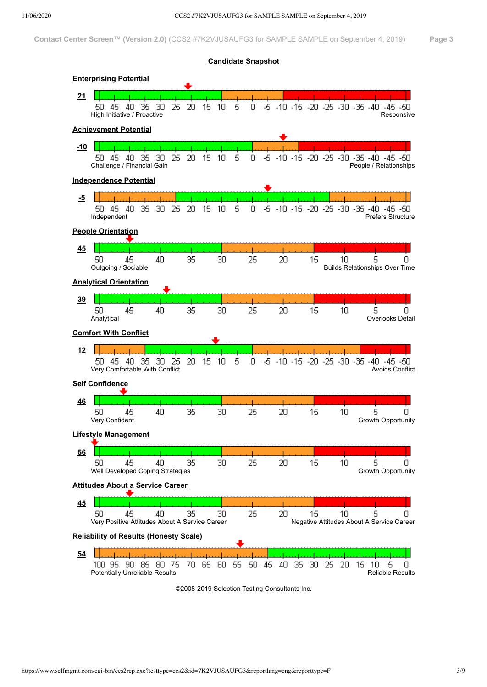

©2008-2019 Selection Testing Consultants Inc.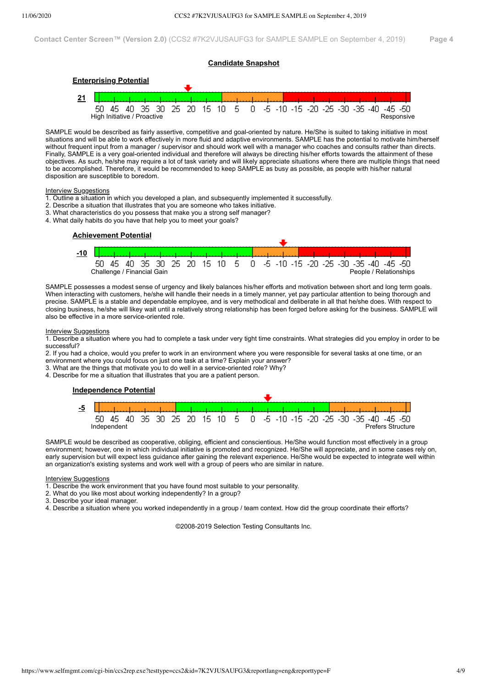## **Candidate Snapshot**



SAMPLE would be described as fairly assertive, competitive and goal-oriented by nature. He/She is suited to taking initiative in most situations and will be able to work effectively in more fluid and adaptive environments. SAMPLE has the potential to motivate him/herself without frequent input from a manager / supervisor and should work well with a manager who coaches and consults rather than directs. Finally, SAMPLE is a very goal-oriented individual and therefore will always be directing his/her efforts towards the attainment of these objectives. As such, he/she may require a lot of task variety and will likely appreciate situations where there are multiple things that need to be accomplished. Therefore, it would be recommended to keep SAMPLE as busy as possible, as people with his/her natural disposition are susceptible to boredom.

## **Interview Suggestions**

- 1. Outline a situation in which you developed a plan, and subsequently implemented it successfully.
- 2. Describe a situation that illustrates that you are someone who takes initiative.
- 3. What characteristics do you possess that make you a strong self manager?
- 4. What daily habits do you have that help you to meet your goals?



SAMPLE possesses a modest sense of urgency and likely balances his/her efforts and motivation between short and long term goals. When interacting with customers, he/she will handle their needs in a timely manner, yet pay particular attention to being thorough and precise. SAMPLE is a stable and dependable employee, and is very methodical and deliberate in all that he/she does. With respect to closing business, he/she will likey wait until a relatively strong relationship has been forged before asking for the business. SAMPLE will also be effective in a more service-oriented role.

## **Interview Suggestions**

1. Describe a situation where you had to complete a task under very tight time constraints. What strategies did you employ in order to be successful?

2. If you had a choice, would you prefer to work in an environment where you were responsible for several tasks at one time, or an environment where you could focus on just one task at a time? Explain your answer?

3. What are the things that motivate you to do well in a service-oriented role? Why?

4. Describe for me a situation that illustrates that you are a patient person.

## **Independence Potential**



SAMPLE would be described as cooperative, obliging, efficient and conscientious. He/She would function most effectively in a group environment; however, one in which individual initiative is promoted and recognized. He/She will appreciate, and in some cases rely on, early supervision but will expect less guidance after gaining the relevant experience. He/She would be expected to integrate well within an organization's existing systems and work well with a group of peers who are similar in nature.

#### **Interview Suggestions**

1. Describe the work environment that you have found most suitable to your personality.

2. What do you like most about working independently? In a group?

3. Describe your ideal manager.

4. Describe a situation where you worked independently in a group / team context. How did the group coordinate their efforts?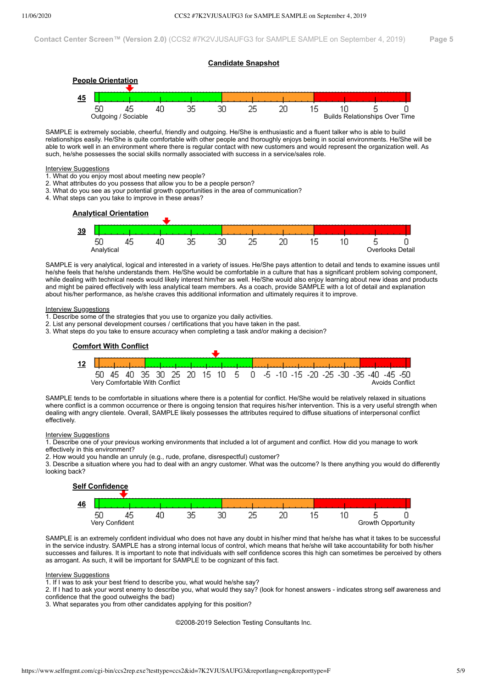



SAMPLE is extremely sociable, cheerful, friendly and outgoing. He/She is enthusiastic and a fluent talker who is able to build relationships easily. He/She is quite comfortable with other people and thoroughly enjoys being in social environments. He/She will be able to work well in an environment where there is regular contact with new customers and would represent the organization well. As such, he/she possesses the social skills normally associated with success in a service/sales role.

#### **Interview Suggestions**

- 1. What do you enjoy most about meeting new people?
- 2. What attributes do you possess that allow you to be a people person?
- 3. What do you see as your potential growth opportunities in the area of communication?
- 4. What steps can you take to improve in these areas?



SAMPLE is very analytical, logical and interested in a variety of issues. He/She pays attention to detail and tends to examine issues until he/she feels that he/she understands them. He/She would be comfortable in a culture that has a significant problem solving component, while dealing with technical needs would likely interest him/her as well. He/She would also enjoy learning about new ideas and products and might be paired effectively with less analytical team members. As a coach, provide SAMPLE with a lot of detail and explanation about his/her performance, as he/she craves this additional information and ultimately requires it to improve.

#### **Interview Suggestions**

- 1. Describe some of the strategies that you use to organize you daily activities.
- 2. List any personal development courses / certifications that you have taken in the past.
- 3. What steps do you take to ensure accuracy when completing a task and/or making a decision?



SAMPLE tends to be comfortable in situations where there is a potential for conflict. He/She would be relatively relaxed in situations where conflict is a common occurrence or there is ongoing tension that requires his/her intervention. This is a very useful strength when dealing with angry clientele. Overall, SAMPLE likely possesses the attributes required to diffuse situations of interpersonal conflict effectively.

## **Interview Suggestions**

1. Describe one of your previous working environments that included a lot of argument and conflict. How did you manage to work effectively in this environment?

2. How would you handle an unruly (e.g., rude, profane, disrespectful) customer?

3. Describe a situation where you had to deal with an angry customer. What was the outcome? Is there anything you would do differently looking back?



SAMPLE is an extremely confident individual who does not have any doubt in his/her mind that he/she has what it takes to be successful in the service industry. SAMPLE has a strong internal locus of control, which means that he/she will take accountability for both his/her successes and failures. It is important to note that individuals with self confidence scores this high can sometimes be perceived by others as arrogant. As such, it will be important for SAMPLE to be cognizant of this fact.

## Interview Suggestions

1. If I was to ask your best friend to describe you, what would he/she say?

2. If I had to ask your worst enemy to describe you, what would they say? (look for honest answers - indicates strong self awareness and confidence that the good outweighs the bad)

3. What separates you from other candidates applying for this position?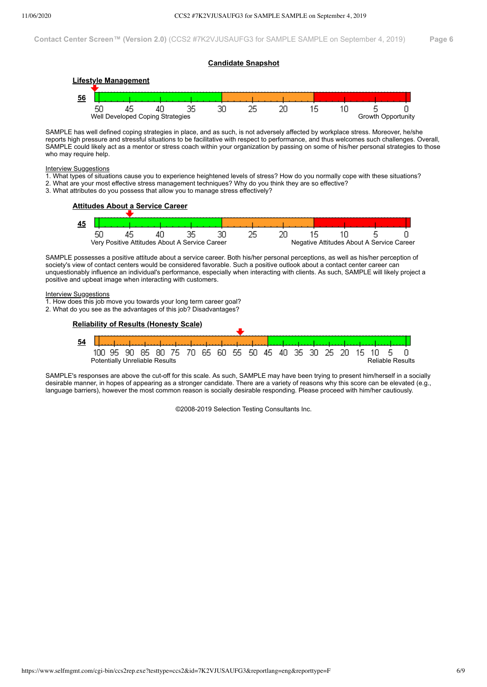## **Candidate Snapshot**



SAMPLE has well defined coping strategies in place, and as such, is not adversely affected by workplace stress. Moreover, he/she reports high pressure and stressful situations to be facilitative with respect to performance, and thus welcomes such challenges. Overall, SAMPLE could likely act as a mentor or stress coach within your organization by passing on some of his/her personal strategies to those who may require help.

## **Interview Suggestions**

- 1. What types of situations cause you to experience heightened levels of stress? How do you normally cope with these situations?
- 2. What are your most effective stress management techniques? Why do you think they are so effective?
- 3. What attributes do you possess that allow you to manage stress effectively?



SAMPLE possesses a positive attitude about a service career. Both his/her personal perceptions, as well as his/her perception of society's view of contact centers would be considered favorable. Such a positive outlook about a contact center career can unquestionably influence an individual's performance, especially when interacting with clients. As such, SAMPLE will likely project a positive and upbeat image when interacting with customers.

## Interview Suggestions

- 1. How does this job move you towards your long term career goal?
- 2. What do you see as the advantages of this job? Disadvantages?



SAMPLE's responses are above the cut-off for this scale. As such, SAMPLE may have been trying to present him/herself in a socially desirable manner, in hopes of appearing as a stronger candidate. There are a variety of reasons why this score can be elevated (e.g., language barriers), however the most common reason is socially desirable responding. Please proceed with him/her cautiously.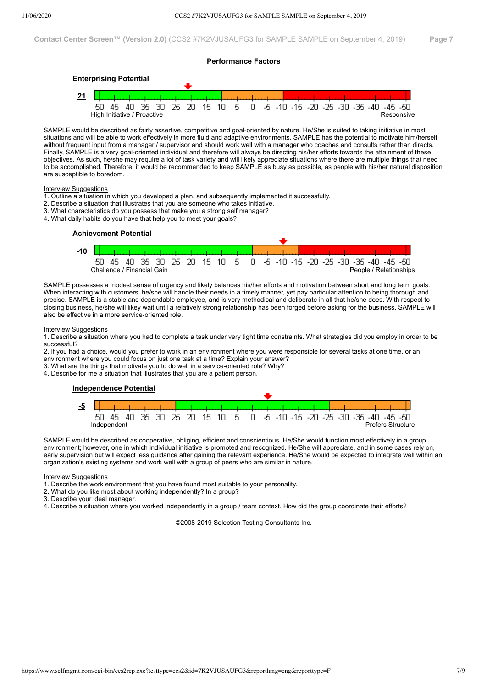## **Performance Factors**



SAMPLE would be described as fairly assertive, competitive and goal-oriented by nature. He/She is suited to taking initiative in most situations and will be able to work effectively in more fluid and adaptive environments. SAMPLE has the potential to motivate him/herself without frequent input from a manager / supervisor and should work well with a manager who coaches and consults rather than directs. Finally, SAMPLE is a very goal-oriented individual and therefore will always be directing his/her efforts towards the attainment of these objectives. As such, he/she may require a lot of task variety and will likely appreciate situations where there are multiple things that need to be accomplished. Therefore, it would be recommended to keep SAMPLE as busy as possible, as people with his/her natural disposition are susceptible to boredom.

## Interview Suggestions

- 1. Outline a situation in which you developed a plan, and subsequently implemented it successfully.
- 2. Describe a situation that illustrates that you are someone who takes initiative.
- 3. What characteristics do you possess that make you a strong self manager?
- 4. What daily habits do you have that help you to meet your goals?



SAMPLE possesses a modest sense of urgency and likely balances his/her efforts and motivation between short and long term goals. When interacting with customers, he/she will handle their needs in a timely manner, yet pay particular attention to being thorough and precise. SAMPLE is a stable and dependable employee, and is very methodical and deliberate in all that he/she does. With respect to closing business, he/she will likey wait until a relatively strong relationship has been forged before asking for the business. SAMPLE will also be effective in a more service-oriented role.

## **Interview Suggestions**

1. Describe a situation where you had to complete a task under very tight time constraints. What strategies did you employ in order to be successful?

2. If you had a choice, would you prefer to work in an environment where you were responsible for several tasks at one time, or an environment where you could focus on just one task at a time? Explain your answer?

3. What are the things that motivate you to do well in a service-oriented role? Why?

4. Describe for me a situation that illustrates that you are a patient person.

## **Independence Potential**



SAMPLE would be described as cooperative, obliging, efficient and conscientious. He/She would function most effectively in a group environment; however, one in which individual initiative is promoted and recognized. He/She will appreciate, and in some cases rely on, early supervision but will expect less guidance after gaining the relevant experience. He/She would be expected to integrate well within an organization's existing systems and work well with a group of peers who are similar in nature.

**Interview Suggestions** 

1. Describe the work environment that you have found most suitable to your personality.

2. What do you like most about working independently? In a group?

3. Describe your ideal manager.

4. Describe a situation where you worked independently in a group / team context. How did the group coordinate their efforts?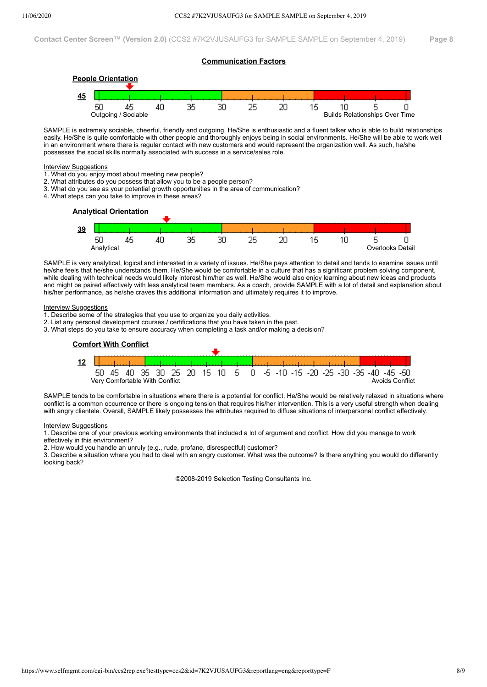## **Communication Factors**



SAMPLE is extremely sociable, cheerful, friendly and outgoing. He/She is enthusiastic and a fluent talker who is able to build relationships easily. He/She is quite comfortable with other people and thoroughly enjoys being in social environments. He/She will be able to work well in an environment where there is regular contact with new customers and would represent the organization well. As such, he/she possesses the social skills normally associated with success in a service/sales role.

## Interview Suggestions

- 1. What do you enjoy most about meeting new people?
- 2. What attributes do you possess that allow you to be a people person?
- 3. What do you see as your potential growth opportunities in the area of communication?
- 4. What steps can you take to improve in these areas?

## **Analytical Orientation**

| 39 |            |        |   |    |          |    |  |                  |
|----|------------|--------|---|----|----------|----|--|------------------|
|    | --         | .<br>. | ╌ | QΣ | oс<br>JU | ФC |  |                  |
|    | Analytical |        |   |    |          |    |  | Overlooks Detail |

SAMPLE is very analytical, logical and interested in a variety of issues. He/She pays attention to detail and tends to examine issues until he/she feels that he/she understands them. He/She would be comfortable in a culture that has a significant problem solving component. while dealing with technical needs would likely interest him/her as well. He/She would also enjoy learning about new ideas and products and might be paired effectively with less analytical team members. As a coach, provide SAMPLE with a lot of detail and explanation about his/her performance, as he/she craves this additional information and ultimately requires it to improve.

#### **Interview Suggestions**

- 1. Describe some of the strategies that you use to organize you daily activities.
- 2. List any personal development courses / certifications that you have taken in the past.
- 3. What steps do you take to ensure accuracy when completing a task and/or making a decision?



SAMPLE tends to be comfortable in situations where there is a potential for conflict. He/She would be relatively relaxed in situations where conflict is a common occurrence or there is ongoing tension that requires his/her intervention. This is a very useful strength when dealing with angry clientele. Overall, SAMPLE likely possesses the attributes required to diffuse situations of interpersonal conflict effectively.

## **Interview Suggestions**

1. Describe one of your previous working environments that included a lot of argument and conflict. How did you manage to work effectively in this environment?

2. How would you handle an unruly (e.g., rude, profane, disrespectful) customer?

3. Describe a situation where you had to deal with an angry customer. What was the outcome? Is there anything you would do differently looking back?